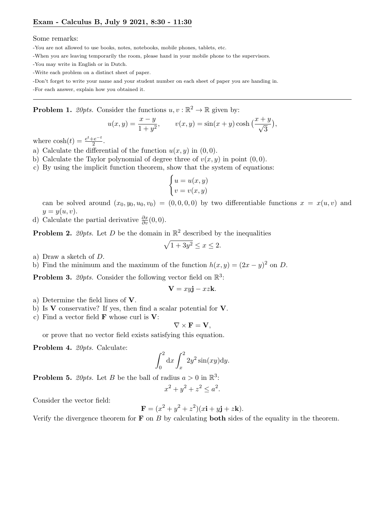Some remarks:

- -You are not allowed to use books, notes, notebooks, mobile phones, tablets, etc.
- -When you are leaving temporarily the room, please hand in your mobile phone to the supervisors.
- -You may write in English or in Dutch.
- -Write each problem on a distinct sheet of paper.
- -Don't forget to write your name and your student number on each sheet of paper you are handing in.

-For each answer, explain how you obtained it.

**Problem 1.** 20pts. Consider the functions  $u, v : \mathbb{R}^2 \to \mathbb{R}$  given by:

$$
u(x, y) = \frac{x - y}{1 + y^2}
$$
,  $v(x, y) = \sin(x + y) \cosh(\frac{x + y}{\sqrt{3}})$ ,

where  $\cosh(t) = \frac{e^t + e^{-t}}{2}$  $\frac{-e^{-c}}{2}$ .

- a) Calculate the differential of the function  $u(x, y)$  in  $(0, 0)$ .
- b) Calculate the Taylor polynomial of degree three of  $v(x, y)$  in point  $(0, 0)$ .
- c) By using the implicit function theorem, show that the system of equations:

$$
\begin{cases} u = u(x, y) \\ v = v(x, y) \end{cases}
$$

can be solved around  $(x_0, y_0, u_0, v_0) = (0, 0, 0, 0)$  by two differentiable functions  $x = x(u, v)$  and  $y=y(u,v).$ 

d) Calculate the partial derivative  $\frac{\partial x}{\partial v}(0,0)$ .

**Problem 2.** 20pts. Let D be the domain in  $\mathbb{R}^2$  described by the inequalities

$$
\sqrt{1+3y^2} \le x \le 2.
$$

- a) Draw a sketch of D.
- b) Find the minimum and the maximum of the function  $h(x, y) = (2x y)^2$  on D.

**Problem 3.** 20pts. Consider the following vector field on  $\mathbb{R}^3$ :

$$
\mathbf{V} = xy\mathbf{j} - xz\mathbf{k}.
$$

- a) Determine the field lines of V.
- b) Is V conservative? If yes, then find a scalar potential for V.
- c) Find a vector field  $\bf{F}$  whose curl is  $\bf{V}$ :

$$
\nabla \times \mathbf{F} = \mathbf{V},
$$

or prove that no vector field exists satisfying this equation.

Problem 4. 20pts. Calculate:

$$
\int_0^2 dx \int_x^2 2y^2 \sin(xy) dy.
$$

**Problem 5.** 20pts. Let B be the ball of radius  $a > 0$  in  $\mathbb{R}^3$ :

$$
x^2 + y^2 + z^2 \le a^2.
$$

Consider the vector field:

$$
\mathbf{F} = (x^2 + y^2 + z^2)(x\mathbf{i} + y\mathbf{j} + z\mathbf{k}).
$$

Verify the divergence theorem for  $\bf{F}$  on  $\bf{B}$  by calculating **both** sides of the equality in the theorem.